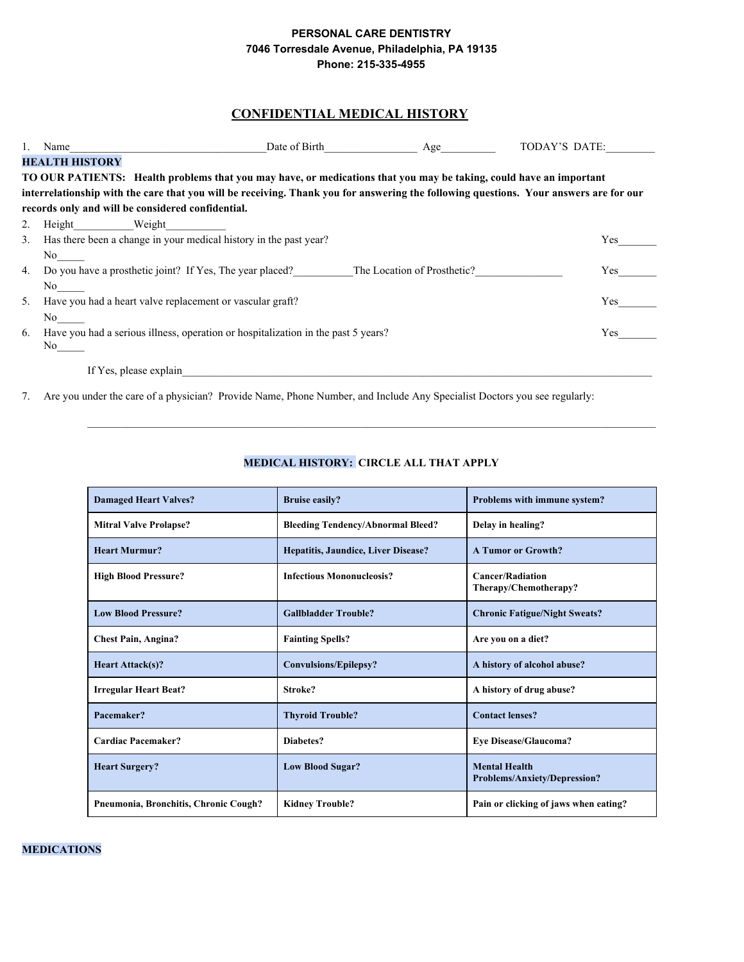#### PERSONAL CARE DENTISTRY 7046 Torresdale Avenue, Philadelphia, PA 19135 Phone: 215-335-4955

# **CONFIDENTIAL MEDICAL HISTORY**

|    | Name                                                              | Date of Birth                                                                                                                         | Age | TODAY'S DATE: |
|----|-------------------------------------------------------------------|---------------------------------------------------------------------------------------------------------------------------------------|-----|---------------|
|    | <b>HEALTH HISTORY</b>                                             |                                                                                                                                       |     |               |
|    |                                                                   | TO OUR PATIENTS: Health problems that you may have, or medications that you may be taking, could have an important                    |     |               |
|    |                                                                   | interrelationship with the care that you will be receiving. Thank you for answering the following questions. Your answers are for our |     |               |
|    | records only and will be considered confidential.                 |                                                                                                                                       |     |               |
| 2. | Height Weight                                                     |                                                                                                                                       |     |               |
| 3. | Has there been a change in your medical history in the past year? |                                                                                                                                       |     | Yes           |
|    | No.                                                               |                                                                                                                                       |     |               |
| 4. |                                                                   | Do you have a prosthetic joint? If Yes, The year placed? The Location of Prosthetic?                                                  |     | Yes           |
|    | No.                                                               |                                                                                                                                       |     |               |
| 5. | Have you had a heart valve replacement or vascular graft?         |                                                                                                                                       |     | <b>Yes</b>    |
|    | No.                                                               |                                                                                                                                       |     |               |
| 6. |                                                                   | Have you had a serious illness, operation or hospitalization in the past 5 years?                                                     |     | Yes.          |
|    | No.                                                               |                                                                                                                                       |     |               |
|    | If Yes, please explain                                            |                                                                                                                                       |     |               |

7. Are you under the care of a physician? Provide Name, Phone Number, and Include Any Specialist Doctors you see regularly:

# MEDICAL HISTORY: CIRCLE ALL THAT APPLY

| <b>Damaged Heart Valves?</b>          | <b>Bruise easily?</b>                    | Problems with immune system?                                |
|---------------------------------------|------------------------------------------|-------------------------------------------------------------|
| <b>Mitral Valve Prolapse?</b>         | <b>Bleeding Tendency/Abnormal Bleed?</b> | Delay in healing?                                           |
| <b>Heart Murmur?</b>                  | Hepatitis, Jaundice, Liver Disease?      | <b>A Tumor or Growth?</b>                                   |
| <b>High Blood Pressure?</b>           | <b>Infectious Mononucleosis?</b>         | <b>Cancer/Radiation</b><br>Therapy/Chemotherapy?            |
| <b>Low Blood Pressure?</b>            | <b>Gallbladder Trouble?</b>              | <b>Chronic Fatigue/Night Sweats?</b>                        |
| <b>Chest Pain, Angina?</b>            | <b>Fainting Spells?</b>                  | Are you on a diet?                                          |
| <b>Heart Attack(s)?</b>               | <b>Convulsions/Epilepsy?</b>             | A history of alcohol abuse?                                 |
| <b>Irregular Heart Beat?</b>          | Stroke?                                  | A history of drug abuse?                                    |
| Pacemaker?                            | <b>Thyroid Trouble?</b>                  | <b>Contact lenses?</b>                                      |
| Cardiac Pacemaker?                    | Diabetes?                                | <b>Eye Disease/Glaucoma?</b>                                |
| <b>Heart Surgery?</b>                 | <b>Low Blood Sugar?</b>                  | <b>Mental Health</b><br><b>Problems/Anxiety/Depression?</b> |
| Pneumonia, Bronchitis, Chronic Cough? | <b>Kidney Trouble?</b>                   | Pain or clicking of jaws when eating?                       |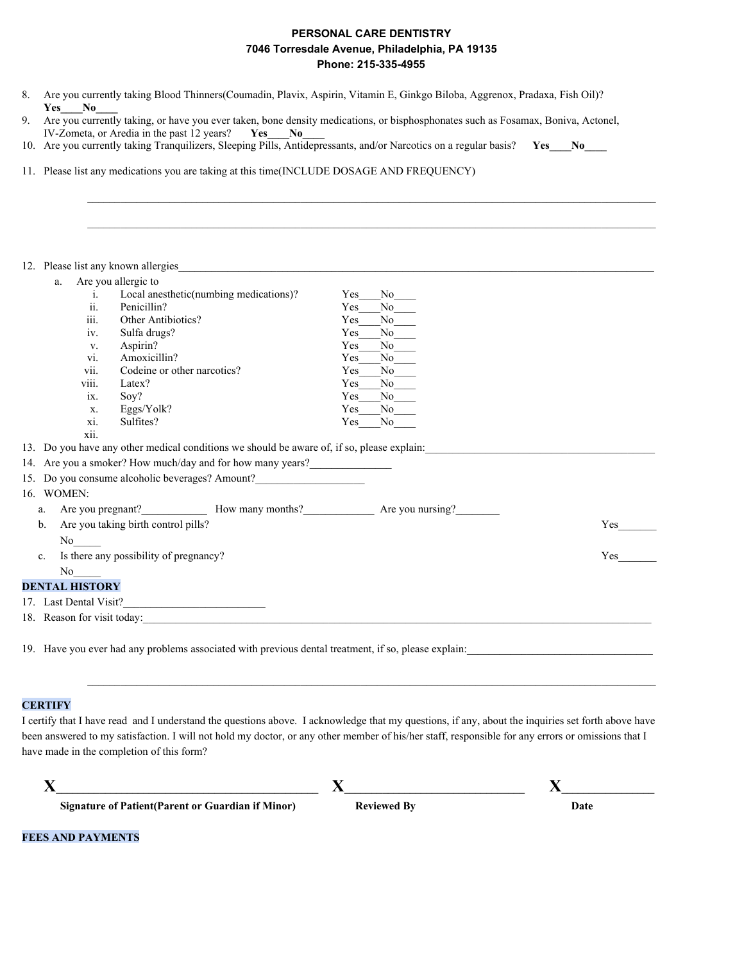# PERSONAL CARE DENTISTRY 7046 Torresdale Avenue, Philadelphia, PA 19135 Phone: 215-335-4955

- 8. Are you currently taking Blood Thinners(Coumadin, Plavix, Aspirin, Vitamin E, Ginkgo Biloba, Aggrenox, Pradaxa, Fish Oil)? Yes No
- 9. Are you currently taking, or have you ever taken, bone density medications, or bisphosphonates such as Fosamax, Boniva, Actonel, IV-Zometa, or Aredia in the past 12 years? Yes No
- 10. Are you currently taking Tranquilizers, Sleeping Pills, Antidepressants, and/or Narcotics on a regular basis?  $Yes$   $No$
- 11. Please list any medications you are taking at this time(INCLUDE DOSAGE AND FREQUENCY)

| a.                     | Are you allergic to                                                                        |            |                      |     |
|------------------------|--------------------------------------------------------------------------------------------|------------|----------------------|-----|
| 1.                     | Local anesthetic(numbing medications)?                                                     | Yes        | $No$ <sub>——</sub>   |     |
| 11.                    | Penicillin?                                                                                | Yes        | $\mathrm{No}$        |     |
| iii.                   | Other Antibiotics?                                                                         | <b>Yes</b> | $No$ <sub>____</sub> |     |
| iv.                    | Sulfa drugs?                                                                               | Yes        | $No$ <sub>____</sub> |     |
| V.                     | Aspirin?                                                                                   | <b>Yes</b> | $No$ <sub>____</sub> |     |
| VI.                    | Amoxicillin?                                                                               | Yes        | $No$ <sub>___</sub>  |     |
| V11.                   | Codeine or other narcotics?                                                                | Yes        | $N_0$                |     |
| viii.                  | Latex?                                                                                     | Yes        | $No$ <sub>____</sub> |     |
| $\overline{1}X$ .      | Soy?                                                                                       | Yes        | $N_0$                |     |
| X.                     | Eggs/Yolk?                                                                                 | <b>Yes</b> | $No$ <sub>___</sub>  |     |
| xi.                    | Sulfites?                                                                                  | Yes        | No no                |     |
| xii.                   |                                                                                            |            |                      |     |
|                        | 13. Do you have any other medical conditions we should be aware of, if so, please explain: |            |                      |     |
|                        | 14. Are you a smoker? How much/day and for how many years?                                 |            |                      |     |
|                        | 15. Do you consume alcoholic beverages? Amount?                                            |            |                      |     |
| 16. WOMEN:             |                                                                                            |            |                      |     |
| a.                     | Are you pregnant?<br>How many months?<br>Are you nursing?                                  |            |                      |     |
| $b$                    | Are you taking birth control pills?                                                        |            |                      | Yes |
| No no                  |                                                                                            |            |                      |     |
|                        |                                                                                            |            |                      |     |
| $\mathbf{c}$ .         | Is there any possibility of pregnancy?                                                     |            |                      | Yes |
| No no                  |                                                                                            |            |                      |     |
| <b>DENTAL HISTORY</b>  |                                                                                            |            |                      |     |
|                        |                                                                                            |            |                      |     |
| 17. Last Dental Visit? |                                                                                            |            |                      |     |

#### **CERTIFY**

I certify that I have read and I understand the questions above. I acknowledge that my questions, if any, about the inquiries set forth above have been answered to my satisfaction. I will not hold my doctor, or any other member of his/her staff, responsible for any errors or omissions that I have made in the completion of this form?

| Signature of Patient (Parent or Guardian if Minor) | <b>Reviewed By</b> | Date |
|----------------------------------------------------|--------------------|------|

**FEES AND PAYMENTS**